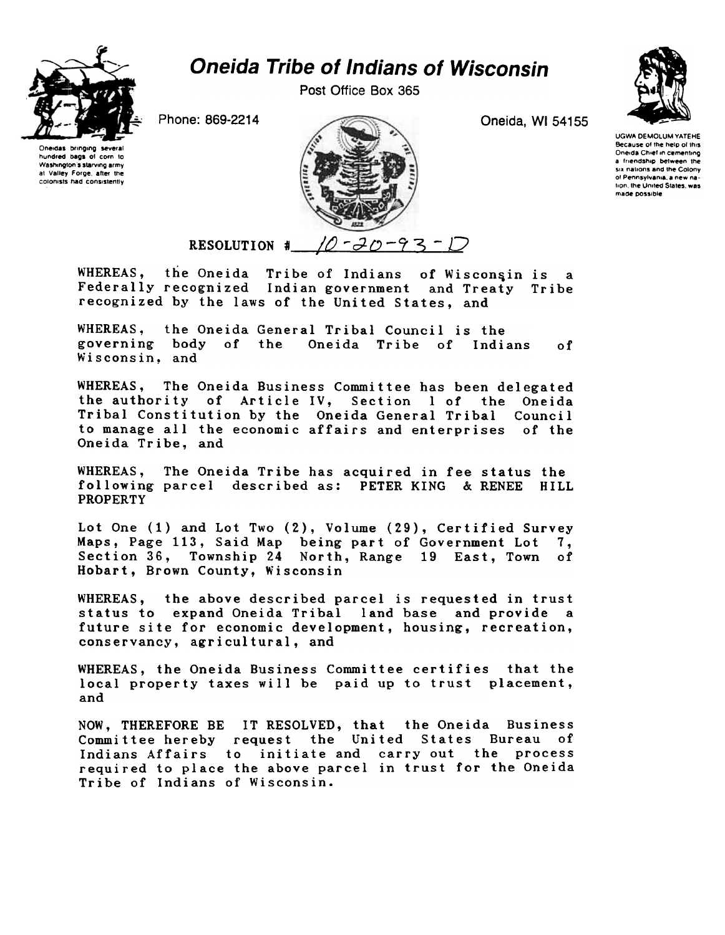

## Oneida Tribe of Indians of Wisconsin

Post Office Box 365

Oneidas bringing several hundred bags 01 corn to Washington's starving army at Valley Forge, after the colonists had consistently



UGWA DEMOLUM YATEHE Because of the help of this Oneida Chief in cementing a friendship between the SIX nallons and the Colony of Pennsylvania, a new nation, the United States, was made possible

## RESOLUTION #  $10 - 30 - 93$

WHEREAS, the Oneida Tribe of Indians of Wisconsin is a Federally recognized Indian government and Treaty Tribe recognized by the laws of the United States, and

WHEREAS, the Oneida General Tribal Council is the governing body of the Oneida Tribe of Indians Wisconsin, and of

WHEREAS, The Oneida Business Committee has been delegated the authority of Article IV, Section I of the Oneida Tribal Constitution by the Oneida General Tribal Council to manage all the economic affairs and enterprises of the Oneida Tribe, and

WHEREAS, The Oneida Tribe has acquired in fee status the following parcel described as: PETER KING & RENEE HILL PROPERTY

Lot One (1) and Lot Two (2), Volume (29), Certified Survey Maps, Page 113, Said Map being part of Government Lot 7, Section 36, Township 24 North, Range 19 East, Town of Hobart, Brown County, Wisconsin

WHEREAS, the above described parcel is requested in trust status to expand Oneida Tribal land base and provide a future site for economic development, housing, recreation, conservancy, agricultural, and

WHEREAS, the Oneida Business Committee certifies that the local property taxes will be paid up to trust placement, and

NOW, THEREFORE BE IT RESOLVED, that the Oneida Business Committee hereby request the United States Bureau of Indians Affairs to initiate and carry out the proces required to place the above parcel in trust for the Oneid Tribe of Indians of Wisconsin.